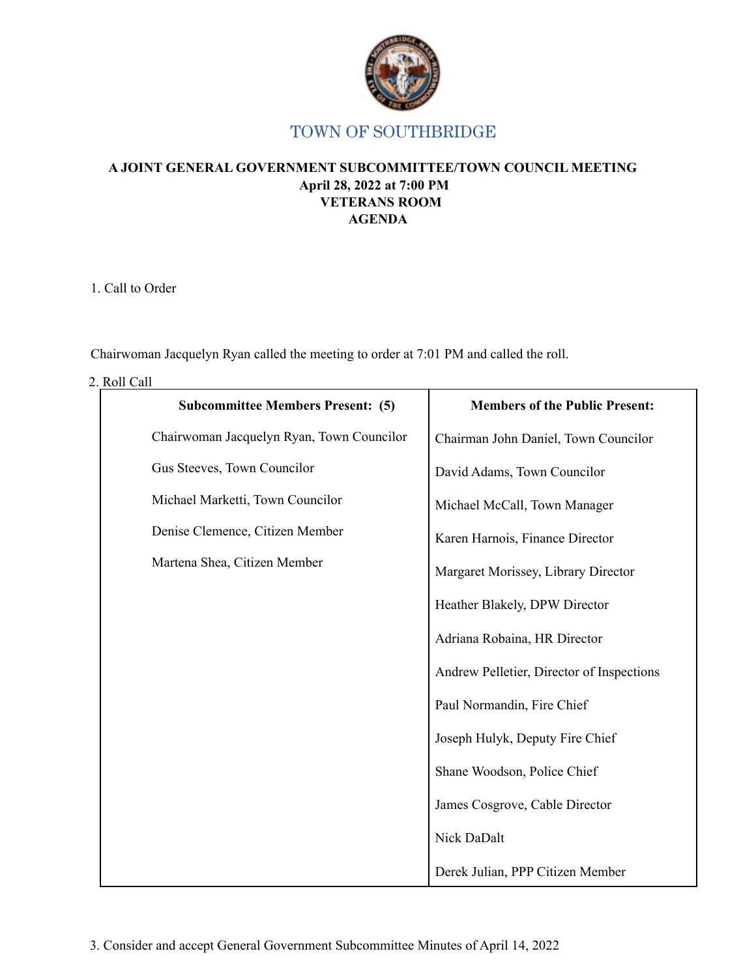

# TOWN OF SOUTHBRIDGE

## **A JOINT GENERAL GOVERNMENT SUBCOMMITTEE/TOWN COUNCIL MEETING April 28, 2022 at 7:00 PM VETERANS ROOM AGENDA**

1. Call to Order

Chairwoman Jacquelyn Ryan called the meeting to order at 7:01 PM and called the roll.

2. Roll Call

| <b>Subcommittee Members Present: (5)</b>  | <b>Members of the Public Present:</b>     |
|-------------------------------------------|-------------------------------------------|
| Chairwoman Jacquelyn Ryan, Town Councilor | Chairman John Daniel, Town Councilor      |
| Gus Steeves, Town Councilor               | David Adams, Town Councilor               |
| Michael Marketti, Town Councilor          | Michael McCall, Town Manager              |
| Denise Clemence, Citizen Member           | Karen Harnois, Finance Director           |
| Martena Shea, Citizen Member              | Margaret Morissey, Library Director       |
|                                           | Heather Blakely, DPW Director             |
|                                           | Adriana Robaina, HR Director              |
|                                           | Andrew Pelletier, Director of Inspections |
|                                           | Paul Normandin, Fire Chief                |
|                                           | Joseph Hulyk, Deputy Fire Chief           |
|                                           | Shane Woodson, Police Chief               |
|                                           | James Cosgrove, Cable Director            |
|                                           | Nick DaDalt                               |
|                                           | Derek Julian, PPP Citizen Member          |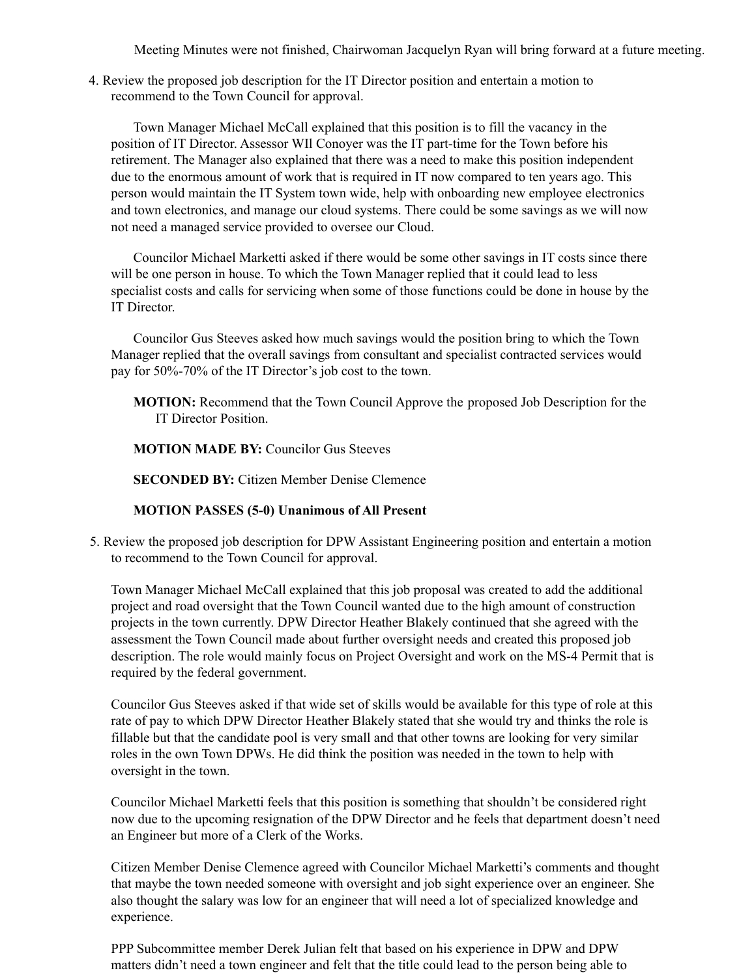Meeting Minutes were not finished, Chairwoman Jacquelyn Ryan will bring forward at a future meeting.

4. Review the proposed job description for the IT Director position and entertain a motion to recommend to the Town Council for approval.

Town Manager Michael McCall explained that this position is to fill the vacancy in the position of IT Director. Assessor WIl Conoyer was the IT part-time for the Town before his retirement. The Manager also explained that there was a need to make this position independent due to the enormous amount of work that is required in IT now compared to ten years ago. This person would maintain the IT System town wide, help with onboarding new employee electronics and town electronics, and manage our cloud systems. There could be some savings as we will now not need a managed service provided to oversee our Cloud.

Councilor Michael Marketti asked if there would be some other savings in IT costs since there will be one person in house. To which the Town Manager replied that it could lead to less specialist costs and calls for servicing when some of those functions could be done in house by the IT Director.

Councilor Gus Steeves asked how much savings would the position bring to which the Town Manager replied that the overall savings from consultant and specialist contracted services would pay for 50%-70% of the IT Director's job cost to the town.

**MOTION:** Recommend that the Town Council Approve the proposed Job Description for the IT Director Position.

**MOTION MADE BY:** Councilor Gus Steeves

**SECONDED BY:** Citizen Member Denise Clemence

#### **MOTION PASSES (5-0) Unanimous of All Present**

5. Review the proposed job description for DPW Assistant Engineering position and entertain a motion to recommend to the Town Council for approval.

Town Manager Michael McCall explained that this job proposal was created to add the additional project and road oversight that the Town Council wanted due to the high amount of construction projects in the town currently. DPW Director Heather Blakely continued that she agreed with the assessment the Town Council made about further oversight needs and created this proposed job description. The role would mainly focus on Project Oversight and work on the MS-4 Permit that is required by the federal government.

Councilor Gus Steeves asked if that wide set of skills would be available for this type of role at this rate of pay to which DPW Director Heather Blakely stated that she would try and thinks the role is fillable but that the candidate pool is very small and that other towns are looking for very similar roles in the own Town DPWs. He did think the position was needed in the town to help with oversight in the town.

Councilor Michael Marketti feels that this position is something that shouldn't be considered right now due to the upcoming resignation of the DPW Director and he feels that department doesn't need an Engineer but more of a Clerk of the Works.

Citizen Member Denise Clemence agreed with Councilor Michael Marketti's comments and thought that maybe the town needed someone with oversight and job sight experience over an engineer. She also thought the salary was low for an engineer that will need a lot of specialized knowledge and experience.

PPP Subcommittee member Derek Julian felt that based on his experience in DPW and DPW matters didn't need a town engineer and felt that the title could lead to the person being able to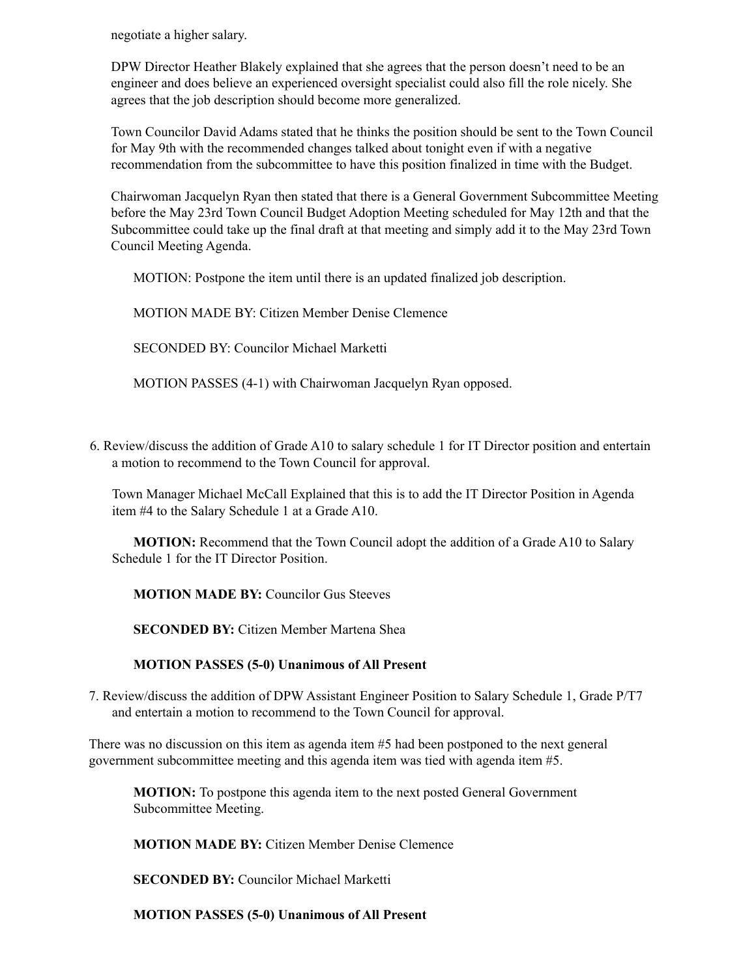negotiate a higher salary.

DPW Director Heather Blakely explained that she agrees that the person doesn't need to be an engineer and does believe an experienced oversight specialist could also fill the role nicely. She agrees that the job description should become more generalized.

Town Councilor David Adams stated that he thinks the position should be sent to the Town Council for May 9th with the recommended changes talked about tonight even if with a negative recommendation from the subcommittee to have this position finalized in time with the Budget.

Chairwoman Jacquelyn Ryan then stated that there is a General Government Subcommittee Meeting before the May 23rd Town Council Budget Adoption Meeting scheduled for May 12th and that the Subcommittee could take up the final draft at that meeting and simply add it to the May 23rd Town Council Meeting Agenda.

MOTION: Postpone the item until there is an updated finalized job description.

MOTION MADE BY: Citizen Member Denise Clemence

SECONDED BY: Councilor Michael Marketti

MOTION PASSES (4-1) with Chairwoman Jacquelyn Ryan opposed.

6. Review/discuss the addition of Grade A10 to salary schedule 1 for IT Director position and entertain a motion to recommend to the Town Council for approval.

Town Manager Michael McCall Explained that this is to add the IT Director Position in Agenda item #4 to the Salary Schedule 1 at a Grade A10.

**MOTION:** Recommend that the Town Council adopt the addition of a Grade A10 to Salary Schedule 1 for the IT Director Position.

**MOTION MADE BY:** Councilor Gus Steeves

**SECONDED BY:** Citizen Member Martena Shea

**MOTION PASSES (5-0) Unanimous of All Present**

7. Review/discuss the addition of DPW Assistant Engineer Position to Salary Schedule 1, Grade P/T7 and entertain a motion to recommend to the Town Council for approval.

There was no discussion on this item as agenda item #5 had been postponed to the next general government subcommittee meeting and this agenda item was tied with agenda item #5.

**MOTION:** To postpone this agenda item to the next posted General Government Subcommittee Meeting.

**MOTION MADE BY:** Citizen Member Denise Clemence

**SECONDED BY:** Councilor Michael Marketti

**MOTION PASSES (5-0) Unanimous of All Present**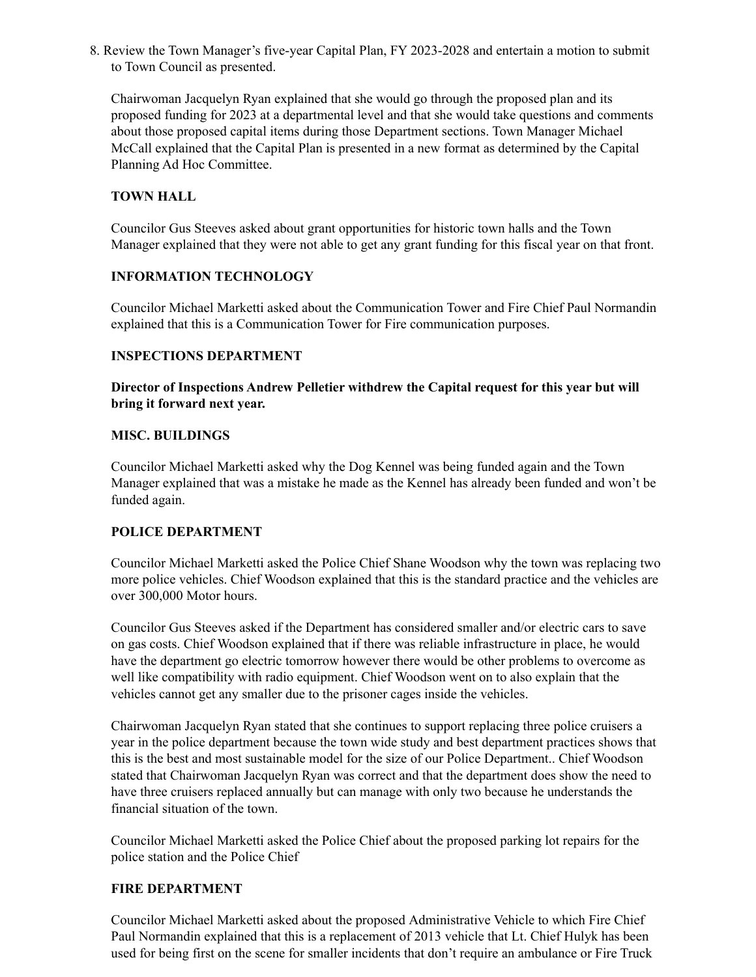8. Review the Town Manager's five-year Capital Plan, FY 2023-2028 and entertain a motion to submit to Town Council as presented.

Chairwoman Jacquelyn Ryan explained that she would go through the proposed plan and its proposed funding for 2023 at a departmental level and that she would take questions and comments about those proposed capital items during those Department sections. Town Manager Michael McCall explained that the Capital Plan is presented in a new format as determined by the Capital Planning Ad Hoc Committee.

# **TOWN HALL**

Councilor Gus Steeves asked about grant opportunities for historic town halls and the Town Manager explained that they were not able to get any grant funding for this fiscal year on that front.

## **INFORMATION TECHNOLOGY**

Councilor Michael Marketti asked about the Communication Tower and Fire Chief Paul Normandin explained that this is a Communication Tower for Fire communication purposes.

## **INSPECTIONS DEPARTMENT**

**Director of Inspections Andrew Pelletier withdrew the Capital request for this year but will bring it forward next year.**

## **MISC. BUILDINGS**

Councilor Michael Marketti asked why the Dog Kennel was being funded again and the Town Manager explained that was a mistake he made as the Kennel has already been funded and won't be funded again.

## **POLICE DEPARTMENT**

Councilor Michael Marketti asked the Police Chief Shane Woodson why the town was replacing two more police vehicles. Chief Woodson explained that this is the standard practice and the vehicles are over 300,000 Motor hours.

Councilor Gus Steeves asked if the Department has considered smaller and/or electric cars to save on gas costs. Chief Woodson explained that if there was reliable infrastructure in place, he would have the department go electric tomorrow however there would be other problems to overcome as well like compatibility with radio equipment. Chief Woodson went on to also explain that the vehicles cannot get any smaller due to the prisoner cages inside the vehicles.

Chairwoman Jacquelyn Ryan stated that she continues to support replacing three police cruisers a year in the police department because the town wide study and best department practices shows that this is the best and most sustainable model for the size of our Police Department.. Chief Woodson stated that Chairwoman Jacquelyn Ryan was correct and that the department does show the need to have three cruisers replaced annually but can manage with only two because he understands the financial situation of the town.

Councilor Michael Marketti asked the Police Chief about the proposed parking lot repairs for the police station and the Police Chief

# **FIRE DEPARTMENT**

Councilor Michael Marketti asked about the proposed Administrative Vehicle to which Fire Chief Paul Normandin explained that this is a replacement of 2013 vehicle that Lt. Chief Hulyk has been used for being first on the scene for smaller incidents that don't require an ambulance or Fire Truck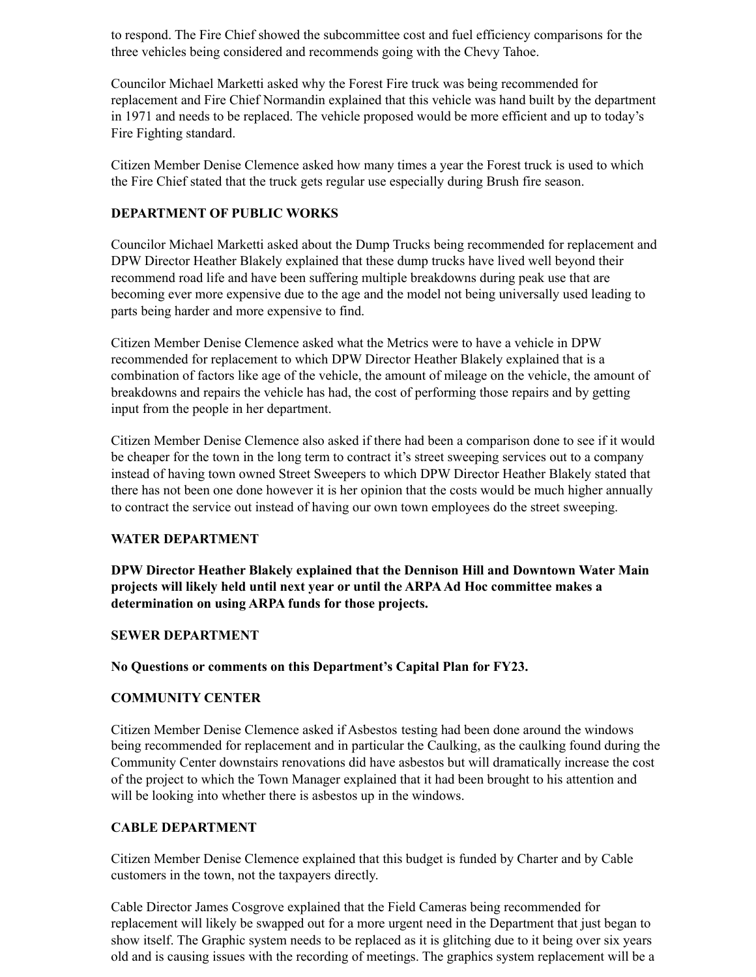to respond. The Fire Chief showed the subcommittee cost and fuel efficiency comparisons for the three vehicles being considered and recommends going with the Chevy Tahoe.

Councilor Michael Marketti asked why the Forest Fire truck was being recommended for replacement and Fire Chief Normandin explained that this vehicle was hand built by the department in 1971 and needs to be replaced. The vehicle proposed would be more efficient and up to today's Fire Fighting standard.

Citizen Member Denise Clemence asked how many times a year the Forest truck is used to which the Fire Chief stated that the truck gets regular use especially during Brush fire season.

## **DEPARTMENT OF PUBLIC WORKS**

Councilor Michael Marketti asked about the Dump Trucks being recommended for replacement and DPW Director Heather Blakely explained that these dump trucks have lived well beyond their recommend road life and have been suffering multiple breakdowns during peak use that are becoming ever more expensive due to the age and the model not being universally used leading to parts being harder and more expensive to find.

Citizen Member Denise Clemence asked what the Metrics were to have a vehicle in DPW recommended for replacement to which DPW Director Heather Blakely explained that is a combination of factors like age of the vehicle, the amount of mileage on the vehicle, the amount of breakdowns and repairs the vehicle has had, the cost of performing those repairs and by getting input from the people in her department.

Citizen Member Denise Clemence also asked if there had been a comparison done to see if it would be cheaper for the town in the long term to contract it's street sweeping services out to a company instead of having town owned Street Sweepers to which DPW Director Heather Blakely stated that there has not been one done however it is her opinion that the costs would be much higher annually to contract the service out instead of having our own town employees do the street sweeping.

## **WATER DEPARTMENT**

**DPW Director Heather Blakely explained that the Dennison Hill and Downtown Water Main projects will likely held until next year or until the ARPAAd Hoc committee makes a determination on using ARPA funds for those projects.**

## **SEWER DEPARTMENT**

**No Questions or comments on this Department's Capital Plan for FY23.**

## **COMMUNITY CENTER**

Citizen Member Denise Clemence asked if Asbestos testing had been done around the windows being recommended for replacement and in particular the Caulking, as the caulking found during the Community Center downstairs renovations did have asbestos but will dramatically increase the cost of the project to which the Town Manager explained that it had been brought to his attention and will be looking into whether there is asbestos up in the windows.

# **CABLE DEPARTMENT**

Citizen Member Denise Clemence explained that this budget is funded by Charter and by Cable customers in the town, not the taxpayers directly.

Cable Director James Cosgrove explained that the Field Cameras being recommended for replacement will likely be swapped out for a more urgent need in the Department that just began to show itself. The Graphic system needs to be replaced as it is glitching due to it being over six years old and is causing issues with the recording of meetings. The graphics system replacement will be a